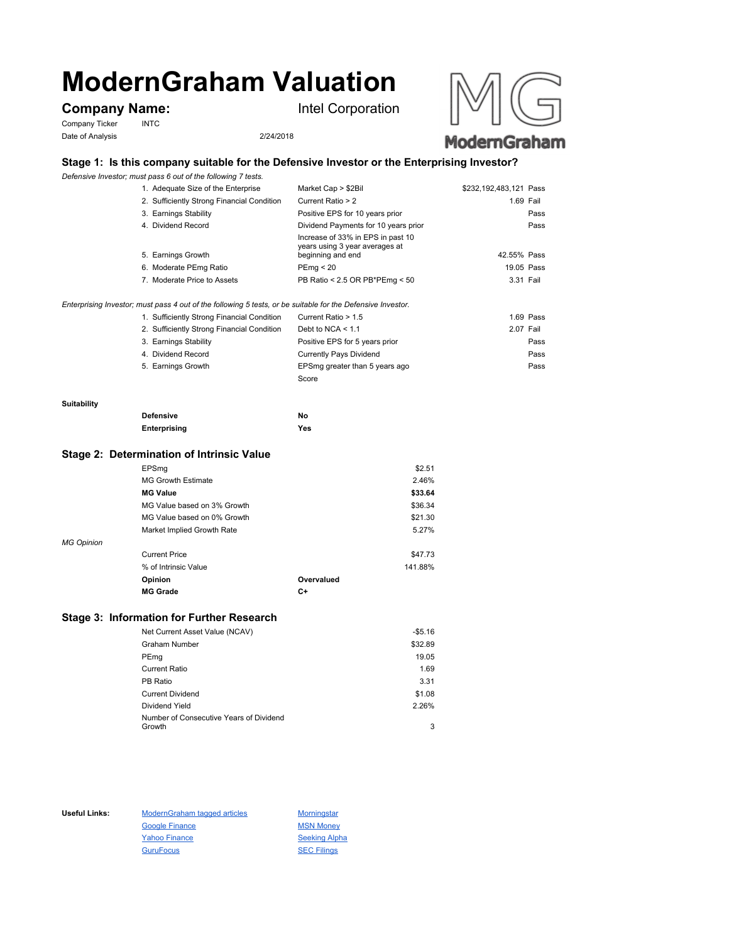# **ModernGraham Valuation**

## **Company Name:** Intel Corporation

Company Ticker INTC Date of Analysis 2/24/2018



## **Stage 1: Is this company suitable for the Defensive Investor or the Enterprising Investor?**

*Defensive Investor; must pass 6 out of the following 7 tests.*

| 2. Sufficiently Strong Financial Condition<br>Current Ratio > 2                                                | 1.69 Fail   |
|----------------------------------------------------------------------------------------------------------------|-------------|
| 3. Earnings Stability<br>Positive EPS for 10 years prior                                                       | Pass        |
| 4. Dividend Record<br>Dividend Payments for 10 years prior                                                     | Pass        |
| Increase of 33% in EPS in past 10<br>years using 3 year averages at<br>5. Earnings Growth<br>beginning and end | 42.55% Pass |
| 6. Moderate PEmg Ratio<br>PEmq < 20                                                                            | 19.05 Pass  |
| PB Ratio < 2.5 OR PB*PEmg < 50<br>7. Moderate Price to Assets                                                  | 3.31 Fail   |
|                                                                                                                |             |

### *Enterprising Investor; must pass 4 out of the following 5 tests, or be suitable for the Defensive Investor.*

| 1. Sufficiently Strong Financial Condition | Current Ratio > 1.5            | 1.69 Pass |
|--------------------------------------------|--------------------------------|-----------|
| 2. Sufficiently Strong Financial Condition | Debt to NCA $<$ 1.1            | 2.07 Fail |
| 3. Earnings Stability                      | Positive EPS for 5 years prior | Pass      |
| 4. Dividend Record                         | <b>Currently Pays Dividend</b> | Pass      |
| 5. Earnings Growth                         | EPSmg greater than 5 years ago | Pass      |
|                                            | Score                          |           |

#### **Suitability**

| <b>Defensive</b> | No  |
|------------------|-----|
| Enterprising     | Yes |

## **Stage 2: Determination of Intrinsic Value**

|                   | EPSmg                       |            | \$2.51  |
|-------------------|-----------------------------|------------|---------|
|                   | <b>MG Growth Estimate</b>   |            | 2.46%   |
|                   | <b>MG Value</b>             |            | \$33.64 |
|                   | MG Value based on 3% Growth |            | \$36.34 |
|                   | MG Value based on 0% Growth |            | \$21.30 |
|                   | Market Implied Growth Rate  |            | 5.27%   |
| <b>MG Opinion</b> |                             |            |         |
|                   | <b>Current Price</b>        |            | \$47.73 |
|                   | % of Intrinsic Value        |            | 141.88% |
|                   | Opinion                     | Overvalued |         |
|                   | <b>MG Grade</b>             | C+         |         |
|                   |                             |            |         |

## **Stage 3: Information for Further Research**

| Net Current Asset Value (NCAV)          | $-$5.16$ |
|-----------------------------------------|----------|
| Graham Number                           | \$32.89  |
| PEmg                                    | 19.05    |
| Current Ratio                           | 1.69     |
| PB Ratio                                | 3.31     |
| <b>Current Dividend</b>                 | \$1.08   |
| Dividend Yield                          | 2.26%    |
| Number of Consecutive Years of Dividend |          |
| Growth                                  | 3        |

Useful Links: ModernGraham tagged articles Morningstar Google Finance MSN Money Yahoo Finance Seeking Alpha GuruFocus SEC Filings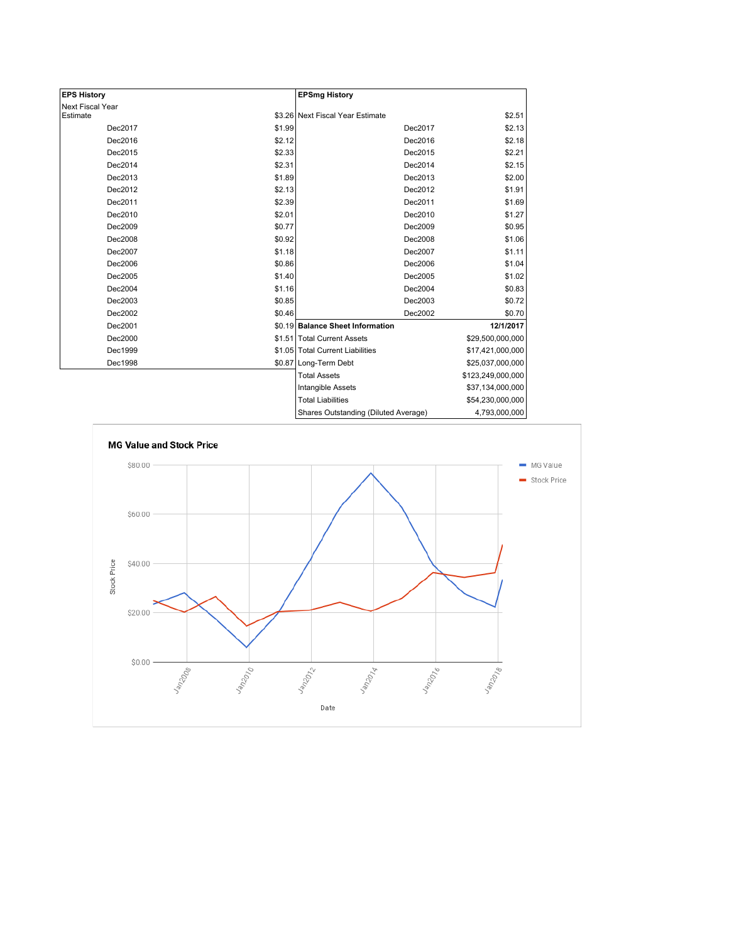| <b>EPS History</b> |        | <b>EPSmg History</b>                 |                   |
|--------------------|--------|--------------------------------------|-------------------|
| Next Fiscal Year   |        |                                      |                   |
| Estimate           |        | \$3.26 Next Fiscal Year Estimate     | \$2.51            |
| Dec2017            | \$1.99 | Dec2017                              | \$2.13            |
| Dec2016            | \$2.12 | Dec2016                              | \$2.18            |
| Dec2015            | \$2.33 | Dec2015                              | \$2.21            |
| Dec2014            | \$2.31 | Dec2014                              | \$2.15            |
| Dec2013            | \$1.89 | Dec2013                              | \$2.00            |
| Dec2012            | \$2.13 | Dec2012                              | \$1.91            |
| Dec2011            | \$2.39 | Dec2011                              | \$1.69            |
| Dec2010            | \$2.01 | Dec2010                              | \$1.27            |
| Dec2009            | \$0.77 | Dec2009                              | \$0.95            |
| Dec2008            | \$0.92 | Dec2008                              | \$1.06            |
| Dec2007            | \$1.18 | Dec2007                              | \$1.11            |
| Dec2006            | \$0.86 | Dec2006                              | \$1.04            |
| Dec2005            | \$1.40 | Dec2005                              | \$1.02            |
| Dec2004            | \$1.16 | Dec2004                              | \$0.83            |
| Dec2003            | \$0.85 | Dec2003                              | \$0.72            |
| Dec2002            | \$0.46 | Dec2002                              | \$0.70            |
| Dec2001            |        | \$0.19 Balance Sheet Information     | 12/1/2017         |
| Dec2000            |        | \$1.51 Total Current Assets          | \$29,500,000,000  |
| Dec1999            |        | \$1.05 Total Current Liabilities     | \$17,421,000,000  |
| Dec1998            |        | \$0.87 Long-Term Debt                | \$25,037,000,000  |
|                    |        | <b>Total Assets</b>                  | \$123,249,000,000 |
|                    |        | Intangible Assets                    | \$37,134,000,000  |
|                    |        | <b>Total Liabilities</b>             | \$54,230,000,000  |
|                    |        | Charge Qutetanding (Diluted Average) | 1.702.000.000     |